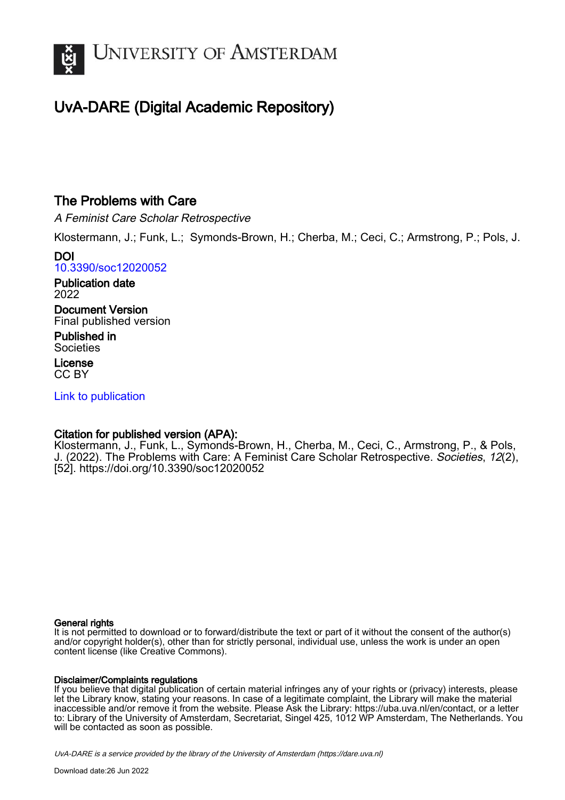

# UvA-DARE (Digital Academic Repository)

## The Problems with Care

A Feminist Care Scholar Retrospective

Klostermann, J.; Funk, L.; Symonds-Brown, H.; Cherba, M.; Ceci, C.; Armstrong, P.; Pols, J.

DOI [10.3390/soc12020052](https://doi.org/10.3390/soc12020052)

Publication date 2022

Document Version Final published version

Published in Societies

License CC BY

[Link to publication](https://dare.uva.nl/personal/pure/en/publications/the-problems-with-care(14a7ef4b-66f3-446a-b873-ab803f64a256).html)

## Citation for published version (APA):

Klostermann, J., Funk, L., Symonds-Brown, H., Cherba, M., Ceci, C., Armstrong, P., & Pols, J. (2022). The Problems with Care: A Feminist Care Scholar Retrospective. Societies, 12(2), [52]. <https://doi.org/10.3390/soc12020052>

## General rights

It is not permitted to download or to forward/distribute the text or part of it without the consent of the author(s) and/or copyright holder(s), other than for strictly personal, individual use, unless the work is under an open content license (like Creative Commons).

## Disclaimer/Complaints regulations

If you believe that digital publication of certain material infringes any of your rights or (privacy) interests, please let the Library know, stating your reasons. In case of a legitimate complaint, the Library will make the material inaccessible and/or remove it from the website. Please Ask the Library: https://uba.uva.nl/en/contact, or a letter to: Library of the University of Amsterdam, Secretariat, Singel 425, 1012 WP Amsterdam, The Netherlands. You will be contacted as soon as possible.

UvA-DARE is a service provided by the library of the University of Amsterdam (http*s*://dare.uva.nl)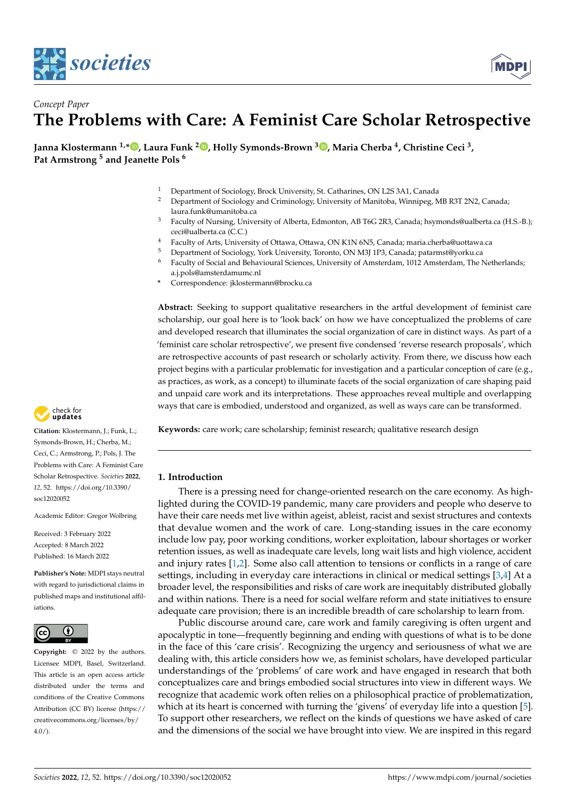



## *Concept Paper* **The Problems with Care: A Feminist Care Scholar Retrospective**

**Janna Klostermann 1,\* [,](https://orcid.org/0000-0002-7376-8745) Laura Funk <sup>2</sup> [,](https://orcid.org/0000-0003-0411-0410) Holly Symonds-Brown <sup>3</sup> [,](https://orcid.org/0000-0003-1067-2890) Maria Cherba <sup>4</sup> , Christine Ceci <sup>3</sup> , Pat Armstrong <sup>5</sup> and Jeanette Pols <sup>6</sup>**

- <sup>1</sup> Department of Sociology, Brock University, St. Catharines, ON L2S 3A1, Canada
- <sup>2</sup> Department of Sociology and Criminology, University of Manitoba, Winnipeg, MB R3T 2N2, Canada; laura.funk@umanitoba.ca
- <sup>3</sup> Faculty of Nursing, University of Alberta, Edmonton, AB T6G 2R3, Canada; hsymonds@ualberta.ca (H.S.-B.); ceci@ualberta.ca (C.C.)
- <sup>4</sup> Faculty of Arts, University of Ottawa, Ottawa, ON K1N 6N5, Canada; maria.cherba@uottawa.ca<br><sup>5</sup> Department of Sociology Verk University Terento, ON M21 122, Canada; matermat@yarky.ca
- <sup>5</sup> Department of Sociology, York University, Toronto, ON M3J 1P3, Canada; patarmst@yorku.ca
- <sup>6</sup> Faculty of Social and Behavioural Sciences, University of Amsterdam, 1012 Amsterdam, The Netherlands; a.j.pols@amsterdamumc.nl
- **\*** Correspondence: jklostermann@brocku.ca

**Abstract:** Seeking to support qualitative researchers in the artful development of feminist care scholarship, our goal here is to 'look back' on how we have conceptualized the problems of care and developed research that illuminates the social organization of care in distinct ways. As part of a 'feminist care scholar retrospective', we present five condensed 'reverse research proposals', which are retrospective accounts of past research or scholarly activity. From there, we discuss how each project begins with a particular problematic for investigation and a particular conception of care (e.g., as practices, as work, as a concept) to illuminate facets of the social organization of care shaping paid and unpaid care work and its interpretations. These approaches reveal multiple and overlapping ways that care is embodied, understood and organized, as well as ways care can be transformed.

**Keywords:** care work; care scholarship; feminist research; qualitative research design

### **1. Introduction**

There is a pressing need for change-oriented research on the care economy. As highlighted during the COVID-19 pandemic, many care providers and people who deserve to have their care needs met live within ageist, ableist, racist and sexist structures and contexts that devalue women and the work of care. Long-standing issues in the care economy include low pay, poor working conditions, worker exploitation, labour shortages or worker retention issues, as well as inadequate care levels, long wait lists and high violence, accident and injury rates [\[1,](#page-12-0)[2\]](#page-12-1). Some also call attention to tensions or conflicts in a range of care settings, including in everyday care interactions in clinical or medical settings [\[3](#page-12-2)[,4\]](#page-12-3) At a broader level, the responsibilities and risks of care work are inequitably distributed globally and within nations. There is a need for social welfare reform and state initiatives to ensure adequate care provision; there is an incredible breadth of care scholarship to learn from.

Public discourse around care, care work and family caregiving is often urgent and apocalyptic in tone—frequently beginning and ending with questions of what is to be done in the face of this 'care crisis'. Recognizing the urgency and seriousness of what we are dealing with, this article considers how we, as feminist scholars, have developed particular understandings of the 'problems' of care work and have engaged in research that both conceptualizes care and brings embodied social structures into view in different ways. We recognize that academic work often relies on a philosophical practice of problematization, which at its heart is concerned with turning the 'givens' of everyday life into a question [\[5\]](#page-12-4). To support other researchers, we reflect on the kinds of questions we have asked of care and the dimensions of the social we have brought into view. We are inspired in this regard



**Citation:** Klostermann, J.; Funk, L.; Symonds-Brown, H.; Cherba, M.; Ceci, C.; Armstrong, P.; Pols, J. The Problems with Care: A Feminist Care Scholar Retrospective. *Societies* **2022**, *12*, 52. [https://doi.org/10.3390/](https://doi.org/10.3390/soc12020052) [soc12020052](https://doi.org/10.3390/soc12020052)

Academic Editor: Gregor Wolbring

Received: 3 February 2022 Accepted: 8 March 2022 Published: 16 March 2022

**Publisher's Note:** MDPI stays neutral with regard to jurisdictional claims in published maps and institutional affiliations.



**Copyright:** © 2022 by the authors. Licensee MDPI, Basel, Switzerland. This article is an open access article distributed under the terms and conditions of the Creative Commons Attribution (CC BY) license [\(https://](https://creativecommons.org/licenses/by/4.0/) [creativecommons.org/licenses/by/](https://creativecommons.org/licenses/by/4.0/)  $4.0/$ ).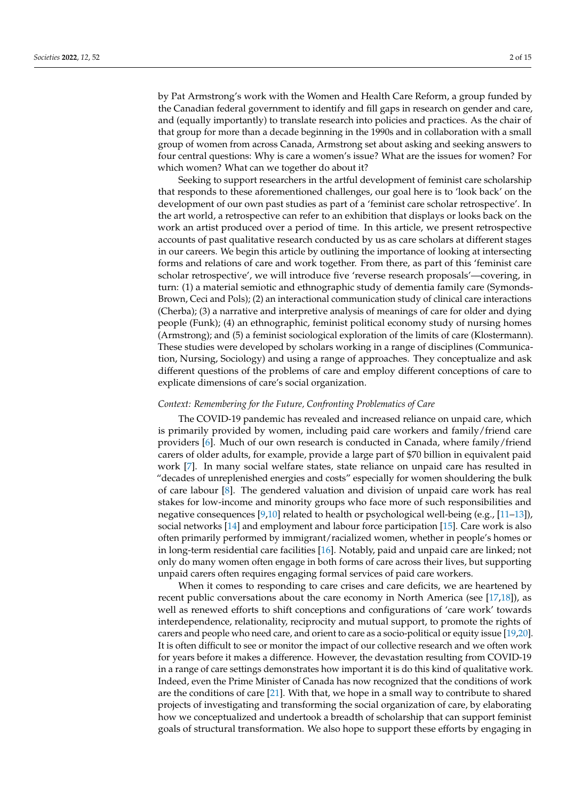by Pat Armstrong's work with the Women and Health Care Reform, a group funded by the Canadian federal government to identify and fill gaps in research on gender and care, and (equally importantly) to translate research into policies and practices. As the chair of that group for more than a decade beginning in the 1990s and in collaboration with a small group of women from across Canada, Armstrong set about asking and seeking answers to four central questions: Why is care a women's issue? What are the issues for women? For which women? What can we together do about it?

Seeking to support researchers in the artful development of feminist care scholarship that responds to these aforementioned challenges, our goal here is to 'look back' on the development of our own past studies as part of a 'feminist care scholar retrospective'. In the art world, a retrospective can refer to an exhibition that displays or looks back on the work an artist produced over a period of time. In this article, we present retrospective accounts of past qualitative research conducted by us as care scholars at different stages in our careers. We begin this article by outlining the importance of looking at intersecting forms and relations of care and work together. From there, as part of this 'feminist care scholar retrospective', we will introduce five 'reverse research proposals'—covering, in turn: (1) a material semiotic and ethnographic study of dementia family care (Symonds-Brown, Ceci and Pols); (2) an interactional communication study of clinical care interactions (Cherba); (3) a narrative and interpretive analysis of meanings of care for older and dying people (Funk); (4) an ethnographic, feminist political economy study of nursing homes (Armstrong); and (5) a feminist sociological exploration of the limits of care (Klostermann). These studies were developed by scholars working in a range of disciplines (Communication, Nursing, Sociology) and using a range of approaches. They conceptualize and ask different questions of the problems of care and employ different conceptions of care to explicate dimensions of care's social organization.

#### *Context: Remembering for the Future, Confronting Problematics of Care*

The COVID-19 pandemic has revealed and increased reliance on unpaid care, which is primarily provided by women, including paid care workers and family/friend care providers [\[6\]](#page-13-0). Much of our own research is conducted in Canada, where family/friend carers of older adults, for example, provide a large part of \$70 billion in equivalent paid work [\[7\]](#page-13-1). In many social welfare states, state reliance on unpaid care has resulted in "decades of unreplenished energies and costs" especially for women shouldering the bulk of care labour [\[8\]](#page-13-2). The gendered valuation and division of unpaid care work has real stakes for low-income and minority groups who face more of such responsibilities and negative consequences [\[9](#page-13-3)[,10\]](#page-13-4) related to health or psychological well-being (e.g., [\[11](#page-13-5)[–13\]](#page-13-6)), social networks [\[14\]](#page-13-7) and employment and labour force participation [\[15\]](#page-13-8). Care work is also often primarily performed by immigrant/racialized women, whether in people's homes or in long-term residential care facilities [\[16\]](#page-13-9). Notably, paid and unpaid care are linked; not only do many women often engage in both forms of care across their lives, but supporting unpaid carers often requires engaging formal services of paid care workers.

When it comes to responding to care crises and care deficits, we are heartened by recent public conversations about the care economy in North America (see [\[17,](#page-13-10)[18\]](#page-13-11)), as well as renewed efforts to shift conceptions and configurations of 'care work' towards interdependence, relationality, reciprocity and mutual support, to promote the rights of carers and people who need care, and orient to care as a socio-political or equity issue [\[19](#page-13-12)[,20\]](#page-13-13). It is often difficult to see or monitor the impact of our collective research and we often work for years before it makes a difference. However, the devastation resulting from COVID-19 in a range of care settings demonstrates how important it is do this kind of qualitative work. Indeed, even the Prime Minister of Canada has now recognized that the conditions of work are the conditions of care [\[21\]](#page-13-14). With that, we hope in a small way to contribute to shared projects of investigating and transforming the social organization of care, by elaborating how we conceptualized and undertook a breadth of scholarship that can support feminist goals of structural transformation. We also hope to support these efforts by engaging in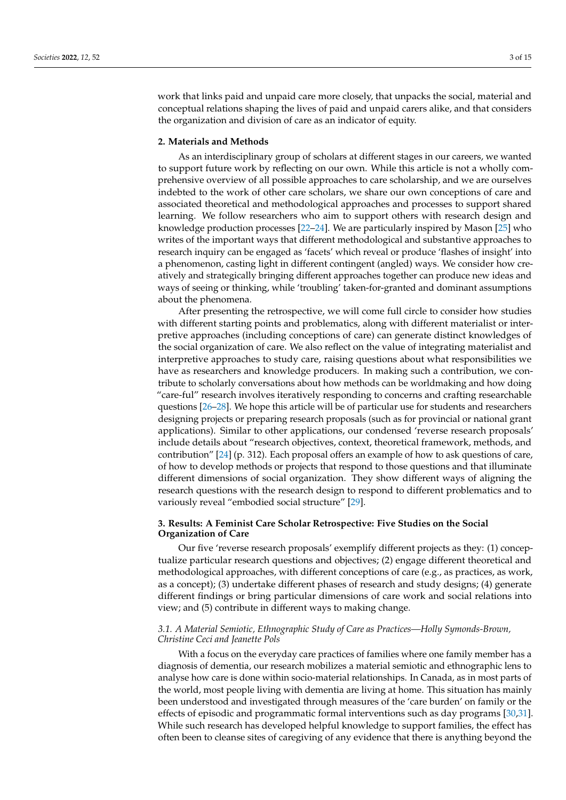work that links paid and unpaid care more closely, that unpacks the social, material and conceptual relations shaping the lives of paid and unpaid carers alike, and that considers the organization and division of care as an indicator of equity.

### **2. Materials and Methods**

As an interdisciplinary group of scholars at different stages in our careers, we wanted to support future work by reflecting on our own. While this article is not a wholly comprehensive overview of all possible approaches to care scholarship, and we are ourselves indebted to the work of other care scholars, we share our own conceptions of care and associated theoretical and methodological approaches and processes to support shared learning. We follow researchers who aim to support others with research design and knowledge production processes [\[22](#page-13-15)[–24\]](#page-13-16). We are particularly inspired by Mason [\[25\]](#page-13-17) who writes of the important ways that different methodological and substantive approaches to research inquiry can be engaged as 'facets' which reveal or produce 'flashes of insight' into a phenomenon, casting light in different contingent (angled) ways. We consider how creatively and strategically bringing different approaches together can produce new ideas and ways of seeing or thinking, while 'troubling' taken-for-granted and dominant assumptions about the phenomena.

After presenting the retrospective, we will come full circle to consider how studies with different starting points and problematics, along with different materialist or interpretive approaches (including conceptions of care) can generate distinct knowledges of the social organization of care. We also reflect on the value of integrating materialist and interpretive approaches to study care, raising questions about what responsibilities we have as researchers and knowledge producers. In making such a contribution, we contribute to scholarly conversations about how methods can be worldmaking and how doing "care-ful" research involves iteratively responding to concerns and crafting researchable questions [\[26–](#page-13-18)[28\]](#page-13-19). We hope this article will be of particular use for students and researchers designing projects or preparing research proposals (such as for provincial or national grant applications). Similar to other applications, our condensed 'reverse research proposals' include details about "research objectives, context, theoretical framework, methods, and contribution" [\[24\]](#page-13-16) (p. 312). Each proposal offers an example of how to ask questions of care, of how to develop methods or projects that respond to those questions and that illuminate different dimensions of social organization. They show different ways of aligning the research questions with the research design to respond to different problematics and to variously reveal "embodied social structure" [\[29\]](#page-13-20).

## **3. Results: A Feminist Care Scholar Retrospective: Five Studies on the Social Organization of Care**

Our five 'reverse research proposals' exemplify different projects as they: (1) conceptualize particular research questions and objectives; (2) engage different theoretical and methodological approaches, with different conceptions of care (e.g., as practices, as work, as a concept); (3) undertake different phases of research and study designs; (4) generate different findings or bring particular dimensions of care work and social relations into view; and (5) contribute in different ways to making change.

## *3.1. A Material Semiotic, Ethnographic Study of Care as Practices—Holly Symonds-Brown, Christine Ceci and Jeanette Pols*

With a focus on the everyday care practices of families where one family member has a diagnosis of dementia, our research mobilizes a material semiotic and ethnographic lens to analyse how care is done within socio-material relationships. In Canada, as in most parts of the world, most people living with dementia are living at home. This situation has mainly been understood and investigated through measures of the 'care burden' on family or the effects of episodic and programmatic formal interventions such as day programs [\[30,](#page-13-21)[31\]](#page-13-22). While such research has developed helpful knowledge to support families, the effect has often been to cleanse sites of caregiving of any evidence that there is anything beyond the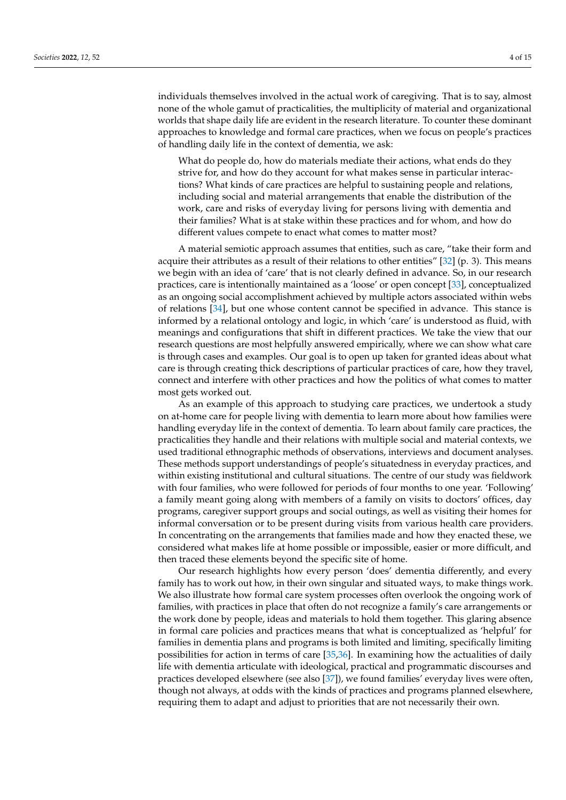individuals themselves involved in the actual work of caregiving. That is to say, almost none of the whole gamut of practicalities, the multiplicity of material and organizational worlds that shape daily life are evident in the research literature. To counter these dominant approaches to knowledge and formal care practices, when we focus on people's practices of handling daily life in the context of dementia, we ask:

What do people do, how do materials mediate their actions, what ends do they strive for, and how do they account for what makes sense in particular interactions? What kinds of care practices are helpful to sustaining people and relations, including social and material arrangements that enable the distribution of the work, care and risks of everyday living for persons living with dementia and their families? What is at stake within these practices and for whom, and how do different values compete to enact what comes to matter most?

A material semiotic approach assumes that entities, such as care, "take their form and acquire their attributes as a result of their relations to other entities" [\[32\]](#page-13-23) (p. 3). This means we begin with an idea of 'care' that is not clearly defined in advance. So, in our research practices, care is intentionally maintained as a 'loose' or open concept [\[33\]](#page-13-24), conceptualized as an ongoing social accomplishment achieved by multiple actors associated within webs of relations [\[34\]](#page-13-25), but one whose content cannot be specified in advance. This stance is informed by a relational ontology and logic, in which 'care' is understood as fluid, with meanings and configurations that shift in different practices. We take the view that our research questions are most helpfully answered empirically, where we can show what care is through cases and examples. Our goal is to open up taken for granted ideas about what care is through creating thick descriptions of particular practices of care, how they travel, connect and interfere with other practices and how the politics of what comes to matter most gets worked out.

As an example of this approach to studying care practices, we undertook a study on at-home care for people living with dementia to learn more about how families were handling everyday life in the context of dementia. To learn about family care practices, the practicalities they handle and their relations with multiple social and material contexts, we used traditional ethnographic methods of observations, interviews and document analyses. These methods support understandings of people's situatedness in everyday practices, and within existing institutional and cultural situations. The centre of our study was fieldwork with four families, who were followed for periods of four months to one year. 'Following' a family meant going along with members of a family on visits to doctors' offices, day programs, caregiver support groups and social outings, as well as visiting their homes for informal conversation or to be present during visits from various health care providers. In concentrating on the arrangements that families made and how they enacted these, we considered what makes life at home possible or impossible, easier or more difficult, and then traced these elements beyond the specific site of home.

Our research highlights how every person 'does' dementia differently, and every family has to work out how, in their own singular and situated ways, to make things work. We also illustrate how formal care system processes often overlook the ongoing work of families, with practices in place that often do not recognize a family's care arrangements or the work done by people, ideas and materials to hold them together. This glaring absence in formal care policies and practices means that what is conceptualized as 'helpful' for families in dementia plans and programs is both limited and limiting, specifically limiting possibilities for action in terms of care [\[35](#page-13-26)[,36\]](#page-13-27). In examining how the actualities of daily life with dementia articulate with ideological, practical and programmatic discourses and practices developed elsewhere (see also [\[37\]](#page-14-0)), we found families' everyday lives were often, though not always, at odds with the kinds of practices and programs planned elsewhere, requiring them to adapt and adjust to priorities that are not necessarily their own.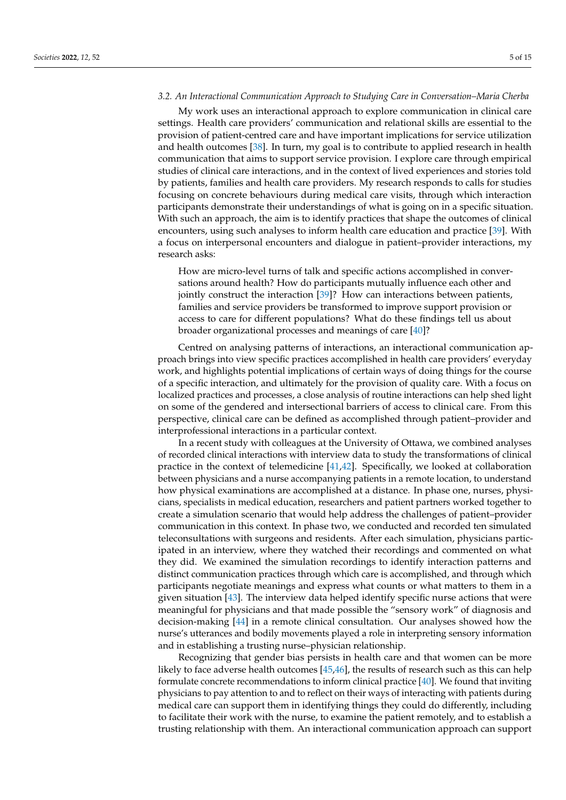#### *3.2. An Interactional Communication Approach to Studying Care in Conversation–Maria Cherba*

My work uses an interactional approach to explore communication in clinical care settings. Health care providers' communication and relational skills are essential to the provision of patient-centred care and have important implications for service utilization and health outcomes [\[38\]](#page-14-1). In turn, my goal is to contribute to applied research in health communication that aims to support service provision. I explore care through empirical studies of clinical care interactions, and in the context of lived experiences and stories told by patients, families and health care providers. My research responds to calls for studies focusing on concrete behaviours during medical care visits, through which interaction participants demonstrate their understandings of what is going on in a specific situation. With such an approach, the aim is to identify practices that shape the outcomes of clinical encounters, using such analyses to inform health care education and practice [\[39\]](#page-14-2). With a focus on interpersonal encounters and dialogue in patient–provider interactions, my research asks:

How are micro-level turns of talk and specific actions accomplished in conversations around health? How do participants mutually influence each other and jointly construct the interaction [\[39\]](#page-14-2)? How can interactions between patients, families and service providers be transformed to improve support provision or access to care for different populations? What do these findings tell us about broader organizational processes and meanings of care [\[40\]](#page-14-3)?

Centred on analysing patterns of interactions, an interactional communication approach brings into view specific practices accomplished in health care providers' everyday work, and highlights potential implications of certain ways of doing things for the course of a specific interaction, and ultimately for the provision of quality care. With a focus on localized practices and processes, a close analysis of routine interactions can help shed light on some of the gendered and intersectional barriers of access to clinical care. From this perspective, clinical care can be defined as accomplished through patient–provider and interprofessional interactions in a particular context.

In a recent study with colleagues at the University of Ottawa, we combined analyses of recorded clinical interactions with interview data to study the transformations of clinical practice in the context of telemedicine [\[41,](#page-14-4)[42\]](#page-14-5). Specifically, we looked at collaboration between physicians and a nurse accompanying patients in a remote location, to understand how physical examinations are accomplished at a distance. In phase one, nurses, physicians, specialists in medical education, researchers and patient partners worked together to create a simulation scenario that would help address the challenges of patient–provider communication in this context. In phase two, we conducted and recorded ten simulated teleconsultations with surgeons and residents. After each simulation, physicians participated in an interview, where they watched their recordings and commented on what they did. We examined the simulation recordings to identify interaction patterns and distinct communication practices through which care is accomplished, and through which participants negotiate meanings and express what counts or what matters to them in a given situation [\[43\]](#page-14-6). The interview data helped identify specific nurse actions that were meaningful for physicians and that made possible the "sensory work" of diagnosis and decision-making [\[44\]](#page-14-7) in a remote clinical consultation. Our analyses showed how the nurse's utterances and bodily movements played a role in interpreting sensory information and in establishing a trusting nurse–physician relationship.

Recognizing that gender bias persists in health care and that women can be more likely to face adverse health outcomes [\[45](#page-14-8)[,46\]](#page-14-9), the results of research such as this can help formulate concrete recommendations to inform clinical practice [\[40\]](#page-14-3). We found that inviting physicians to pay attention to and to reflect on their ways of interacting with patients during medical care can support them in identifying things they could do differently, including to facilitate their work with the nurse, to examine the patient remotely, and to establish a trusting relationship with them. An interactional communication approach can support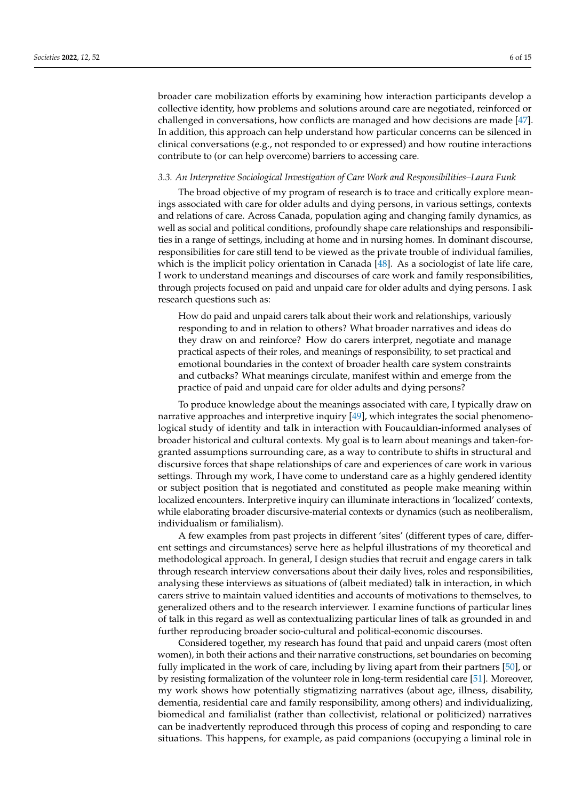broader care mobilization efforts by examining how interaction participants develop a collective identity, how problems and solutions around care are negotiated, reinforced or challenged in conversations, how conflicts are managed and how decisions are made [\[47\]](#page-14-10). In addition, this approach can help understand how particular concerns can be silenced in clinical conversations (e.g., not responded to or expressed) and how routine interactions contribute to (or can help overcome) barriers to accessing care.

#### *3.3. An Interpretive Sociological Investigation of Care Work and Responsibilities–Laura Funk*

The broad objective of my program of research is to trace and critically explore meanings associated with care for older adults and dying persons, in various settings, contexts and relations of care. Across Canada, population aging and changing family dynamics, as well as social and political conditions, profoundly shape care relationships and responsibilities in a range of settings, including at home and in nursing homes. In dominant discourse, responsibilities for care still tend to be viewed as the private trouble of individual families, which is the implicit policy orientation in Canada [\[48\]](#page-14-11). As a sociologist of late life care, I work to understand meanings and discourses of care work and family responsibilities, through projects focused on paid and unpaid care for older adults and dying persons. I ask research questions such as:

How do paid and unpaid carers talk about their work and relationships, variously responding to and in relation to others? What broader narratives and ideas do they draw on and reinforce? How do carers interpret, negotiate and manage practical aspects of their roles, and meanings of responsibility, to set practical and emotional boundaries in the context of broader health care system constraints and cutbacks? What meanings circulate, manifest within and emerge from the practice of paid and unpaid care for older adults and dying persons?

To produce knowledge about the meanings associated with care, I typically draw on narrative approaches and interpretive inquiry [\[49\]](#page-14-12), which integrates the social phenomenological study of identity and talk in interaction with Foucauldian-informed analyses of broader historical and cultural contexts. My goal is to learn about meanings and taken-forgranted assumptions surrounding care, as a way to contribute to shifts in structural and discursive forces that shape relationships of care and experiences of care work in various settings. Through my work, I have come to understand care as a highly gendered identity or subject position that is negotiated and constituted as people make meaning within localized encounters. Interpretive inquiry can illuminate interactions in 'localized' contexts, while elaborating broader discursive-material contexts or dynamics (such as neoliberalism, individualism or familialism).

A few examples from past projects in different 'sites' (different types of care, different settings and circumstances) serve here as helpful illustrations of my theoretical and methodological approach. In general, I design studies that recruit and engage carers in talk through research interview conversations about their daily lives, roles and responsibilities, analysing these interviews as situations of (albeit mediated) talk in interaction, in which carers strive to maintain valued identities and accounts of motivations to themselves, to generalized others and to the research interviewer. I examine functions of particular lines of talk in this regard as well as contextualizing particular lines of talk as grounded in and further reproducing broader socio-cultural and political-economic discourses.

Considered together, my research has found that paid and unpaid carers (most often women), in both their actions and their narrative constructions, set boundaries on becoming fully implicated in the work of care, including by living apart from their partners [\[50\]](#page-14-13), or by resisting formalization of the volunteer role in long-term residential care [\[51\]](#page-14-14). Moreover, my work shows how potentially stigmatizing narratives (about age, illness, disability, dementia, residential care and family responsibility, among others) and individualizing, biomedical and familialist (rather than collectivist, relational or politicized) narratives can be inadvertently reproduced through this process of coping and responding to care situations. This happens, for example, as paid companions (occupying a liminal role in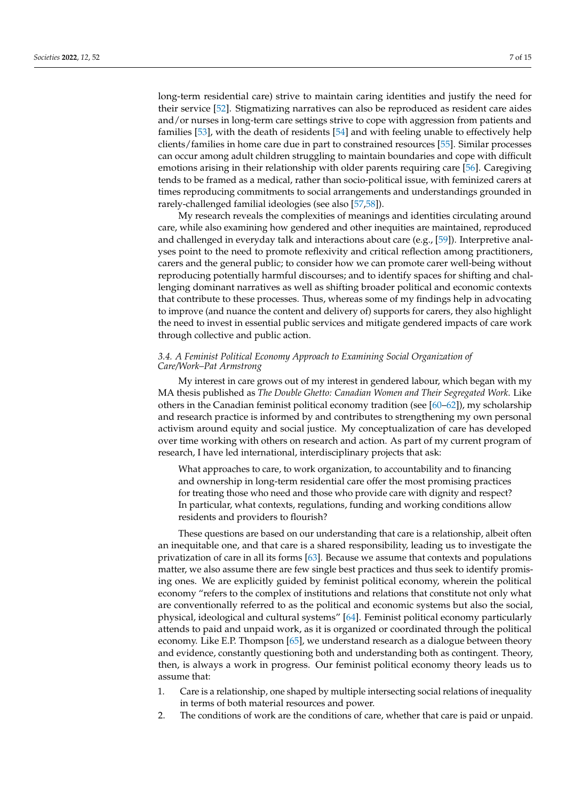long-term residential care) strive to maintain caring identities and justify the need for their service [\[52\]](#page-14-15). Stigmatizing narratives can also be reproduced as resident care aides and/or nurses in long-term care settings strive to cope with aggression from patients and families [\[53\]](#page-14-16), with the death of residents [\[54\]](#page-14-17) and with feeling unable to effectively help clients/families in home care due in part to constrained resources [\[55\]](#page-14-18). Similar processes can occur among adult children struggling to maintain boundaries and cope with difficult emotions arising in their relationship with older parents requiring care [\[56\]](#page-14-19). Caregiving tends to be framed as a medical, rather than socio-political issue, with feminized carers at times reproducing commitments to social arrangements and understandings grounded in rarely-challenged familial ideologies (see also [\[57,](#page-14-20)[58\]](#page-14-21)).

My research reveals the complexities of meanings and identities circulating around care, while also examining how gendered and other inequities are maintained, reproduced and challenged in everyday talk and interactions about care (e.g., [\[59\]](#page-14-22)). Interpretive analyses point to the need to promote reflexivity and critical reflection among practitioners, carers and the general public; to consider how we can promote carer well-being without reproducing potentially harmful discourses; and to identify spaces for shifting and challenging dominant narratives as well as shifting broader political and economic contexts that contribute to these processes. Thus, whereas some of my findings help in advocating to improve (and nuance the content and delivery of) supports for carers, they also highlight the need to invest in essential public services and mitigate gendered impacts of care work through collective and public action.

## *3.4. A Feminist Political Economy Approach to Examining Social Organization of Care/Work–Pat Armstrong*

My interest in care grows out of my interest in gendered labour, which began with my MA thesis published as *The Double Ghetto: Canadian Women and Their Segregated Work*. Like others in the Canadian feminist political economy tradition (see [\[60–](#page-14-23)[62\]](#page-14-24)), my scholarship and research practice is informed by and contributes to strengthening my own personal activism around equity and social justice. My conceptualization of care has developed over time working with others on research and action. As part of my current program of research, I have led international, interdisciplinary projects that ask:

What approaches to care, to work organization, to accountability and to financing and ownership in long-term residential care offer the most promising practices for treating those who need and those who provide care with dignity and respect? In particular, what contexts, regulations, funding and working conditions allow residents and providers to flourish?

These questions are based on our understanding that care is a relationship, albeit often an inequitable one, and that care is a shared responsibility, leading us to investigate the privatization of care in all its forms [\[63\]](#page-14-25). Because we assume that contexts and populations matter, we also assume there are few single best practices and thus seek to identify promising ones. We are explicitly guided by feminist political economy, wherein the political economy "refers to the complex of institutions and relations that constitute not only what are conventionally referred to as the political and economic systems but also the social, physical, ideological and cultural systems" [\[64\]](#page-14-26). Feminist political economy particularly attends to paid and unpaid work, as it is organized or coordinated through the political economy. Like E.P. Thompson [\[65\]](#page-14-27), we understand research as a dialogue between theory and evidence, constantly questioning both and understanding both as contingent. Theory, then, is always a work in progress. Our feminist political economy theory leads us to assume that:

- 1. Care is a relationship, one shaped by multiple intersecting social relations of inequality in terms of both material resources and power.
- 2. The conditions of work are the conditions of care, whether that care is paid or unpaid.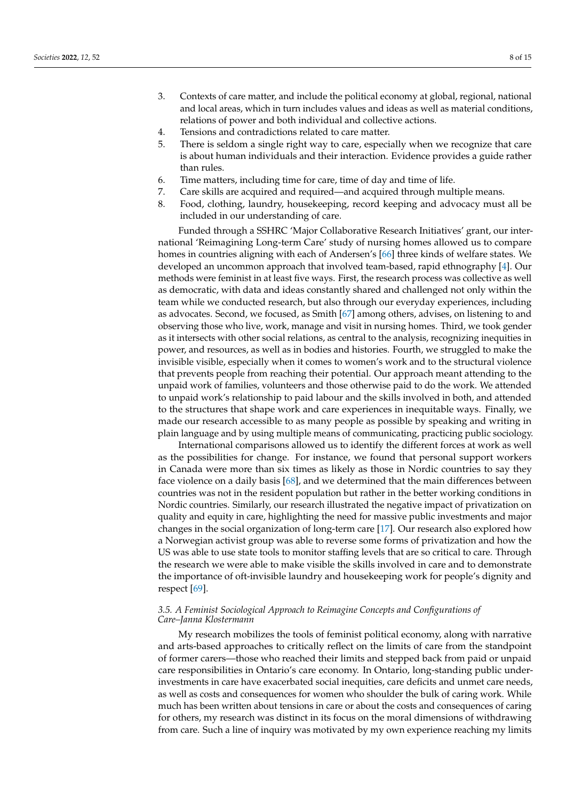- 3. Contexts of care matter, and include the political economy at global, regional, national and local areas, which in turn includes values and ideas as well as material conditions, relations of power and both individual and collective actions.
- 4. Tensions and contradictions related to care matter.
- 5. There is seldom a single right way to care, especially when we recognize that care is about human individuals and their interaction. Evidence provides a guide rather than rules.
- 6. Time matters, including time for care, time of day and time of life.
- 7. Care skills are acquired and required—and acquired through multiple means.
- 8. Food, clothing, laundry, housekeeping, record keeping and advocacy must all be included in our understanding of care.

Funded through a SSHRC 'Major Collaborative Research Initiatives' grant, our international 'Reimagining Long-term Care' study of nursing homes allowed us to compare homes in countries aligning with each of Andersen's [\[66\]](#page-15-0) three kinds of welfare states. We developed an uncommon approach that involved team-based, rapid ethnography [\[4\]](#page-12-3). Our methods were feminist in at least five ways. First, the research process was collective as well as democratic, with data and ideas constantly shared and challenged not only within the team while we conducted research, but also through our everyday experiences, including as advocates. Second, we focused, as Smith [\[67\]](#page-15-1) among others, advises, on listening to and observing those who live, work, manage and visit in nursing homes. Third, we took gender as it intersects with other social relations, as central to the analysis, recognizing inequities in power, and resources, as well as in bodies and histories. Fourth, we struggled to make the invisible visible, especially when it comes to women's work and to the structural violence that prevents people from reaching their potential. Our approach meant attending to the unpaid work of families, volunteers and those otherwise paid to do the work. We attended to unpaid work's relationship to paid labour and the skills involved in both, and attended to the structures that shape work and care experiences in inequitable ways. Finally, we made our research accessible to as many people as possible by speaking and writing in plain language and by using multiple means of communicating, practicing public sociology.

International comparisons allowed us to identify the different forces at work as well as the possibilities for change. For instance, we found that personal support workers in Canada were more than six times as likely as those in Nordic countries to say they face violence on a daily basis [\[68\]](#page-15-2), and we determined that the main differences between countries was not in the resident population but rather in the better working conditions in Nordic countries. Similarly, our research illustrated the negative impact of privatization on quality and equity in care, highlighting the need for massive public investments and major changes in the social organization of long-term care [\[17\]](#page-13-10). Our research also explored how a Norwegian activist group was able to reverse some forms of privatization and how the US was able to use state tools to monitor staffing levels that are so critical to care. Through the research we were able to make visible the skills involved in care and to demonstrate the importance of oft-invisible laundry and housekeeping work for people's dignity and respect [\[69\]](#page-15-3).

### *3.5. A Feminist Sociological Approach to Reimagine Concepts and Configurations of Care–Janna Klostermann*

My research mobilizes the tools of feminist political economy, along with narrative and arts-based approaches to critically reflect on the limits of care from the standpoint of former carers—those who reached their limits and stepped back from paid or unpaid care responsibilities in Ontario's care economy. In Ontario, long-standing public underinvestments in care have exacerbated social inequities, care deficits and unmet care needs, as well as costs and consequences for women who shoulder the bulk of caring work. While much has been written about tensions in care or about the costs and consequences of caring for others, my research was distinct in its focus on the moral dimensions of withdrawing from care. Such a line of inquiry was motivated by my own experience reaching my limits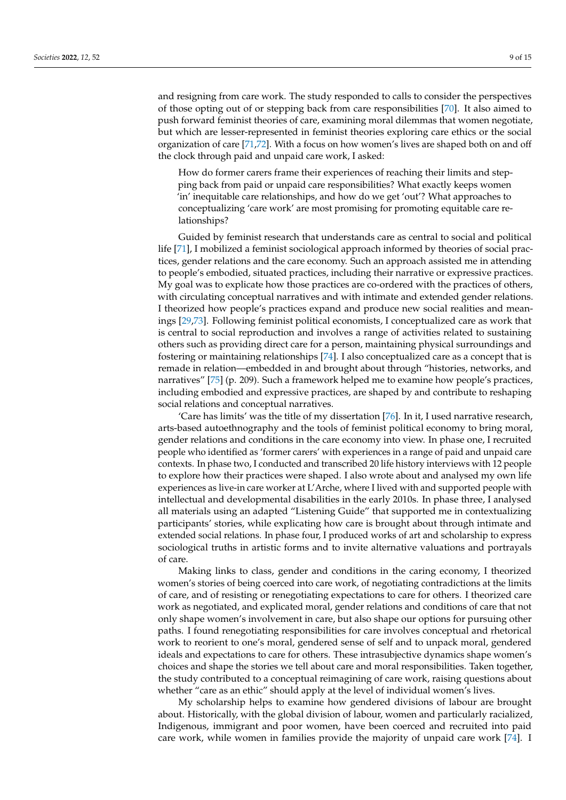and resigning from care work. The study responded to calls to consider the perspectives of those opting out of or stepping back from care responsibilities [\[70\]](#page-15-4). It also aimed to push forward feminist theories of care, examining moral dilemmas that women negotiate, but which are lesser-represented in feminist theories exploring care ethics or the social organization of care [\[71,](#page-15-5)[72\]](#page-15-6). With a focus on how women's lives are shaped both on and off the clock through paid and unpaid care work, I asked:

How do former carers frame their experiences of reaching their limits and stepping back from paid or unpaid care responsibilities? What exactly keeps women 'in' inequitable care relationships, and how do we get 'out'? What approaches to conceptualizing 'care work' are most promising for promoting equitable care relationships?

Guided by feminist research that understands care as central to social and political life [\[71\]](#page-15-5), I mobilized a feminist sociological approach informed by theories of social practices, gender relations and the care economy. Such an approach assisted me in attending to people's embodied, situated practices, including their narrative or expressive practices. My goal was to explicate how those practices are co-ordered with the practices of others, with circulating conceptual narratives and with intimate and extended gender relations. I theorized how people's practices expand and produce new social realities and meanings [\[29](#page-13-20)[,73\]](#page-15-7). Following feminist political economists, I conceptualized care as work that is central to social reproduction and involves a range of activities related to sustaining others such as providing direct care for a person, maintaining physical surroundings and fostering or maintaining relationships [\[74\]](#page-15-8). I also conceptualized care as a concept that is remade in relation—embedded in and brought about through "histories, networks, and narratives" [\[75\]](#page-15-9) (p. 209). Such a framework helped me to examine how people's practices, including embodied and expressive practices, are shaped by and contribute to reshaping social relations and conceptual narratives.

'Care has limits' was the title of my dissertation [\[76\]](#page-15-10). In it, I used narrative research, arts-based autoethnography and the tools of feminist political economy to bring moral, gender relations and conditions in the care economy into view. In phase one, I recruited people who identified as 'former carers' with experiences in a range of paid and unpaid care contexts. In phase two, I conducted and transcribed 20 life history interviews with 12 people to explore how their practices were shaped. I also wrote about and analysed my own life experiences as live-in care worker at L'Arche, where I lived with and supported people with intellectual and developmental disabilities in the early 2010s. In phase three, I analysed all materials using an adapted "Listening Guide" that supported me in contextualizing participants' stories, while explicating how care is brought about through intimate and extended social relations. In phase four, I produced works of art and scholarship to express sociological truths in artistic forms and to invite alternative valuations and portrayals of care.

Making links to class, gender and conditions in the caring economy, I theorized women's stories of being coerced into care work, of negotiating contradictions at the limits of care, and of resisting or renegotiating expectations to care for others. I theorized care work as negotiated, and explicated moral, gender relations and conditions of care that not only shape women's involvement in care, but also shape our options for pursuing other paths. I found renegotiating responsibilities for care involves conceptual and rhetorical work to reorient to one's moral, gendered sense of self and to unpack moral, gendered ideals and expectations to care for others. These intrasubjective dynamics shape women's choices and shape the stories we tell about care and moral responsibilities. Taken together, the study contributed to a conceptual reimagining of care work, raising questions about whether "care as an ethic" should apply at the level of individual women's lives.

My scholarship helps to examine how gendered divisions of labour are brought about. Historically, with the global division of labour, women and particularly racialized, Indigenous, immigrant and poor women, have been coerced and recruited into paid care work, while women in families provide the majority of unpaid care work [\[74\]](#page-15-8). I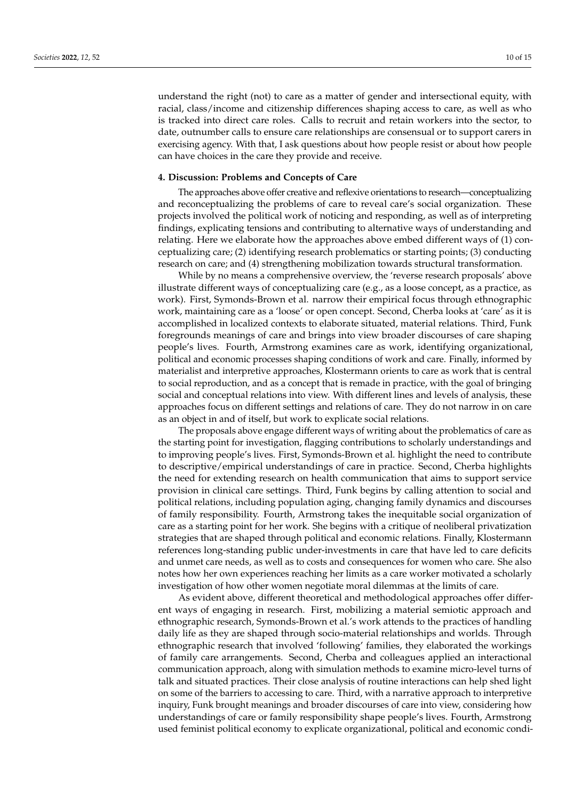understand the right (not) to care as a matter of gender and intersectional equity, with racial, class/income and citizenship differences shaping access to care, as well as who is tracked into direct care roles. Calls to recruit and retain workers into the sector, to date, outnumber calls to ensure care relationships are consensual or to support carers in exercising agency. With that, I ask questions about how people resist or about how people can have choices in the care they provide and receive.

#### **4. Discussion: Problems and Concepts of Care**

The approaches above offer creative and reflexive orientations to research—conceptualizing and reconceptualizing the problems of care to reveal care's social organization. These projects involved the political work of noticing and responding, as well as of interpreting findings, explicating tensions and contributing to alternative ways of understanding and relating. Here we elaborate how the approaches above embed different ways of (1) conceptualizing care; (2) identifying research problematics or starting points; (3) conducting research on care; and (4) strengthening mobilization towards structural transformation.

While by no means a comprehensive overview, the 'reverse research proposals' above illustrate different ways of conceptualizing care (e.g., as a loose concept, as a practice, as work). First, Symonds-Brown et al. narrow their empirical focus through ethnographic work, maintaining care as a 'loose' or open concept. Second, Cherba looks at 'care' as it is accomplished in localized contexts to elaborate situated, material relations. Third, Funk foregrounds meanings of care and brings into view broader discourses of care shaping people's lives. Fourth, Armstrong examines care as work, identifying organizational, political and economic processes shaping conditions of work and care. Finally, informed by materialist and interpretive approaches, Klostermann orients to care as work that is central to social reproduction, and as a concept that is remade in practice, with the goal of bringing social and conceptual relations into view. With different lines and levels of analysis, these approaches focus on different settings and relations of care. They do not narrow in on care as an object in and of itself, but work to explicate social relations.

The proposals above engage different ways of writing about the problematics of care as the starting point for investigation, flagging contributions to scholarly understandings and to improving people's lives. First, Symonds-Brown et al. highlight the need to contribute to descriptive/empirical understandings of care in practice. Second, Cherba highlights the need for extending research on health communication that aims to support service provision in clinical care settings. Third, Funk begins by calling attention to social and political relations, including population aging, changing family dynamics and discourses of family responsibility. Fourth, Armstrong takes the inequitable social organization of care as a starting point for her work. She begins with a critique of neoliberal privatization strategies that are shaped through political and economic relations. Finally, Klostermann references long-standing public under-investments in care that have led to care deficits and unmet care needs, as well as to costs and consequences for women who care. She also notes how her own experiences reaching her limits as a care worker motivated a scholarly investigation of how other women negotiate moral dilemmas at the limits of care.

As evident above, different theoretical and methodological approaches offer different ways of engaging in research. First, mobilizing a material semiotic approach and ethnographic research, Symonds-Brown et al.'s work attends to the practices of handling daily life as they are shaped through socio-material relationships and worlds. Through ethnographic research that involved 'following' families, they elaborated the workings of family care arrangements. Second, Cherba and colleagues applied an interactional communication approach, along with simulation methods to examine micro-level turns of talk and situated practices. Their close analysis of routine interactions can help shed light on some of the barriers to accessing to care. Third, with a narrative approach to interpretive inquiry, Funk brought meanings and broader discourses of care into view, considering how understandings of care or family responsibility shape people's lives. Fourth, Armstrong used feminist political economy to explicate organizational, political and economic condi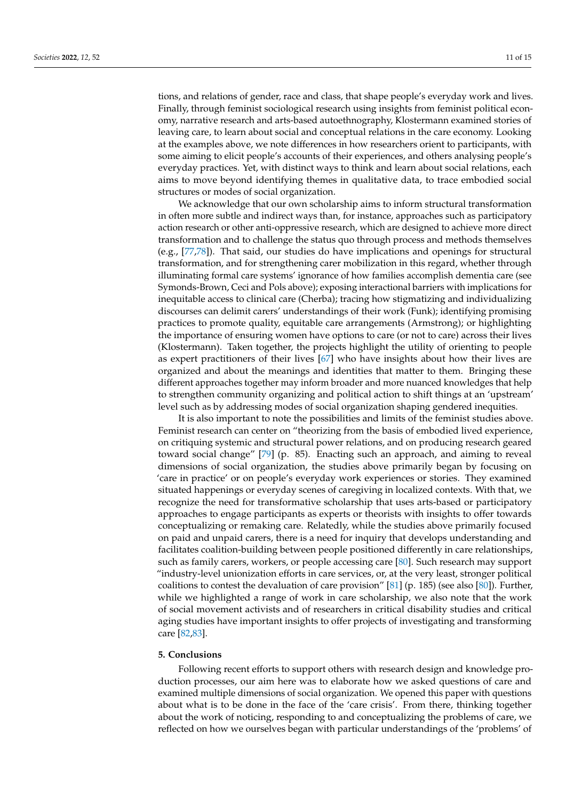tions, and relations of gender, race and class, that shape people's everyday work and lives. Finally, through feminist sociological research using insights from feminist political economy, narrative research and arts-based autoethnography, Klostermann examined stories of leaving care, to learn about social and conceptual relations in the care economy. Looking at the examples above, we note differences in how researchers orient to participants, with some aiming to elicit people's accounts of their experiences, and others analysing people's everyday practices. Yet, with distinct ways to think and learn about social relations, each aims to move beyond identifying themes in qualitative data, to trace embodied social structures or modes of social organization.

We acknowledge that our own scholarship aims to inform structural transformation in often more subtle and indirect ways than, for instance, approaches such as participatory action research or other anti-oppressive research, which are designed to achieve more direct transformation and to challenge the status quo through process and methods themselves (e.g., [\[77](#page-15-11)[,78\]](#page-15-12)). That said, our studies do have implications and openings for structural transformation, and for strengthening carer mobilization in this regard, whether through illuminating formal care systems' ignorance of how families accomplish dementia care (see Symonds-Brown, Ceci and Pols above); exposing interactional barriers with implications for inequitable access to clinical care (Cherba); tracing how stigmatizing and individualizing discourses can delimit carers' understandings of their work (Funk); identifying promising practices to promote quality, equitable care arrangements (Armstrong); or highlighting the importance of ensuring women have options to care (or not to care) across their lives (Klostermann). Taken together, the projects highlight the utility of orienting to people as expert practitioners of their lives [\[67\]](#page-15-1) who have insights about how their lives are organized and about the meanings and identities that matter to them. Bringing these different approaches together may inform broader and more nuanced knowledges that help to strengthen community organizing and political action to shift things at an 'upstream' level such as by addressing modes of social organization shaping gendered inequities.

It is also important to note the possibilities and limits of the feminist studies above. Feminist research can center on "theorizing from the basis of embodied lived experience, on critiquing systemic and structural power relations, and on producing research geared toward social change" [\[79\]](#page-15-13) (p. 85). Enacting such an approach, and aiming to reveal dimensions of social organization, the studies above primarily began by focusing on 'care in practice' or on people's everyday work experiences or stories. They examined situated happenings or everyday scenes of caregiving in localized contexts. With that, we recognize the need for transformative scholarship that uses arts-based or participatory approaches to engage participants as experts or theorists with insights to offer towards conceptualizing or remaking care. Relatedly, while the studies above primarily focused on paid and unpaid carers, there is a need for inquiry that develops understanding and facilitates coalition-building between people positioned differently in care relationships, such as family carers, workers, or people accessing care [\[80\]](#page-15-14). Such research may support "industry-level unionization efforts in care services, or, at the very least, stronger political coalitions to contest the devaluation of care provision" [\[81\]](#page-15-15) (p. 185) (see also [\[80\]](#page-15-14)). Further, while we highlighted a range of work in care scholarship, we also note that the work of social movement activists and of researchers in critical disability studies and critical aging studies have important insights to offer projects of investigating and transforming care [\[82,](#page-15-16)[83\]](#page-15-17).

#### **5. Conclusions**

Following recent efforts to support others with research design and knowledge production processes, our aim here was to elaborate how we asked questions of care and examined multiple dimensions of social organization. We opened this paper with questions about what is to be done in the face of the 'care crisis'. From there, thinking together about the work of noticing, responding to and conceptualizing the problems of care, we reflected on how we ourselves began with particular understandings of the 'problems' of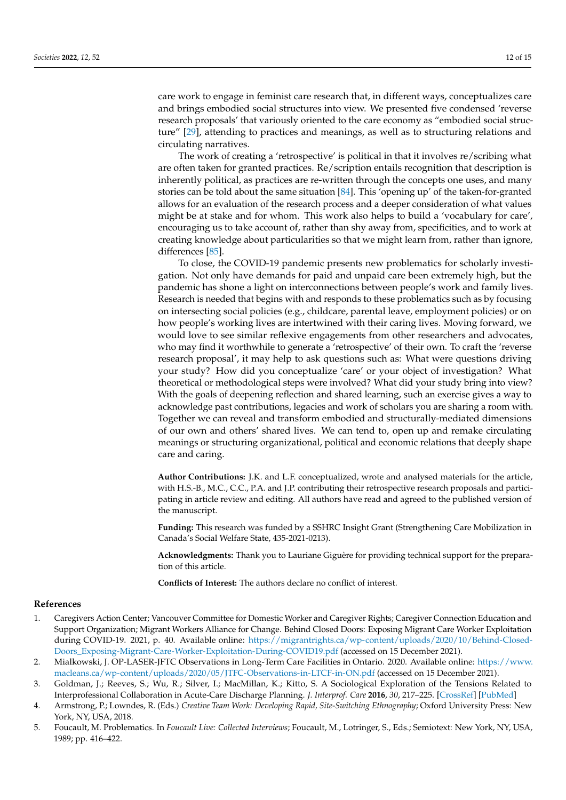care work to engage in feminist care research that, in different ways, conceptualizes care and brings embodied social structures into view. We presented five condensed 'reverse research proposals' that variously oriented to the care economy as "embodied social structure" [\[29\]](#page-13-20), attending to practices and meanings, as well as to structuring relations and circulating narratives.

The work of creating a 'retrospective' is political in that it involves re/scribing what are often taken for granted practices. Re/scription entails recognition that description is inherently political, as practices are re-written through the concepts one uses, and many stories can be told about the same situation [\[84\]](#page-15-18). This 'opening up' of the taken-for-granted allows for an evaluation of the research process and a deeper consideration of what values might be at stake and for whom. This work also helps to build a 'vocabulary for care', encouraging us to take account of, rather than shy away from, specificities, and to work at creating knowledge about particularities so that we might learn from, rather than ignore, differences [\[85\]](#page-15-19).

To close, the COVID-19 pandemic presents new problematics for scholarly investigation. Not only have demands for paid and unpaid care been extremely high, but the pandemic has shone a light on interconnections between people's work and family lives. Research is needed that begins with and responds to these problematics such as by focusing on intersecting social policies (e.g., childcare, parental leave, employment policies) or on how people's working lives are intertwined with their caring lives. Moving forward, we would love to see similar reflexive engagements from other researchers and advocates, who may find it worthwhile to generate a 'retrospective' of their own. To craft the 'reverse research proposal', it may help to ask questions such as: What were questions driving your study? How did you conceptualize 'care' or your object of investigation? What theoretical or methodological steps were involved? What did your study bring into view? With the goals of deepening reflection and shared learning, such an exercise gives a way to acknowledge past contributions, legacies and work of scholars you are sharing a room with. Together we can reveal and transform embodied and structurally-mediated dimensions of our own and others' shared lives. We can tend to, open up and remake circulating meanings or structuring organizational, political and economic relations that deeply shape care and caring.

**Author Contributions:** J.K. and L.F. conceptualized, wrote and analysed materials for the article, with H.S.-B., M.C., C.C., P.A. and J.P. contributing their retrospective research proposals and participating in article review and editing. All authors have read and agreed to the published version of the manuscript.

**Funding:** This research was funded by a SSHRC Insight Grant (Strengthening Care Mobilization in Canada's Social Welfare State, 435-2021-0213).

**Acknowledgments:** Thank you to Lauriane Giguère for providing technical support for the preparation of this article.

**Conflicts of Interest:** The authors declare no conflict of interest.

#### **References**

- <span id="page-12-0"></span>1. Caregivers Action Center; Vancouver Committee for Domestic Worker and Caregiver Rights; Caregiver Connection Education and Support Organization; Migrant Workers Alliance for Change. Behind Closed Doors: Exposing Migrant Care Worker Exploitation during COVID-19. 2021, p. 40. Available online: [https://migrantrights.ca/wp-content/uploads/2020/10/Behind-Closed-](https://migrantrights.ca/wp-content/uploads/2020/10/Behind-Closed-Doors_Exposing-Migrant-Care-Worker-Exploitation-During-COVID19.pdf)[Doors\\_Exposing-Migrant-Care-Worker-Exploitation-During-COVID19.pdf](https://migrantrights.ca/wp-content/uploads/2020/10/Behind-Closed-Doors_Exposing-Migrant-Care-Worker-Exploitation-During-COVID19.pdf) (accessed on 15 December 2021).
- <span id="page-12-1"></span>2. Mialkowski, J. OP-LASER-JFTC Observations in Long-Term Care Facilities in Ontario. 2020. Available online: [https://www.](https://www.macleans.ca/wp-content/uploads/2020/05/JTFC-Observations-in-LTCF-in-ON.pdf) [macleans.ca/wp-content/uploads/2020/05/JTFC-Observations-in-LTCF-in-ON.pdf](https://www.macleans.ca/wp-content/uploads/2020/05/JTFC-Observations-in-LTCF-in-ON.pdf) (accessed on 15 December 2021).
- <span id="page-12-2"></span>3. Goldman, J.; Reeves, S.; Wu, R.; Silver, I.; MacMillan, K.; Kitto, S. A Sociological Exploration of the Tensions Related to Interprofessional Collaboration in Acute-Care Discharge Planning. *J. Interprof. Care* **2016**, *30*, 217–225. [\[CrossRef\]](http://doi.org/10.3109/13561820.2015.1072803) [\[PubMed\]](http://www.ncbi.nlm.nih.gov/pubmed/26852628)
- <span id="page-12-3"></span>4. Armstrong, P.; Lowndes, R. (Eds.) *Creative Team Work: Developing Rapid, Site-Switching Ethnography*; Oxford University Press: New York, NY, USA, 2018.
- <span id="page-12-4"></span>5. Foucault, M. Problematics. In *Foucault Live: Collected Interviews*; Foucault, M., Lotringer, S., Eds.; Semiotext: New York, NY, USA, 1989; pp. 416–422.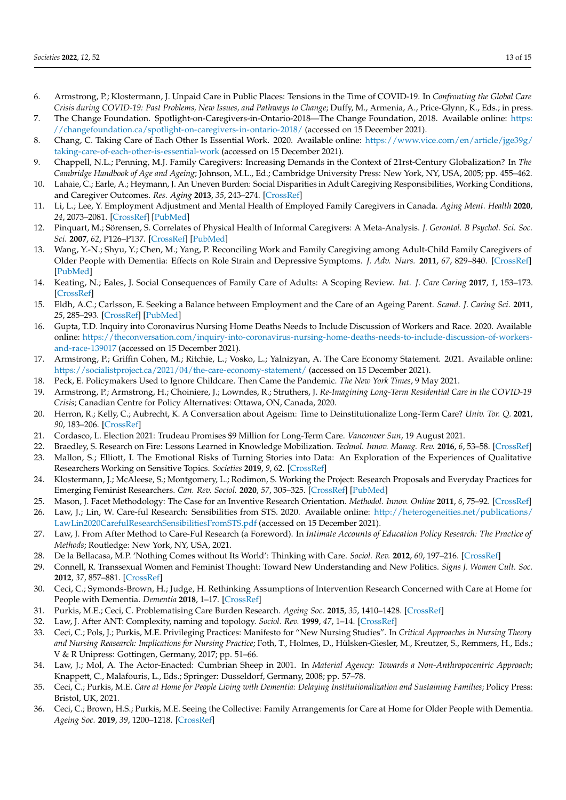- <span id="page-13-0"></span>6. Armstrong, P.; Klostermann, J. Unpaid Care in Public Places: Tensions in the Time of COVID-19. In *Confronting the Global Care Crisis during COVID-19: Past Problems, New Issues, and Pathways to Change*; Duffy, M., Armenia, A., Price-Glynn, K., Eds.; in press.
- <span id="page-13-1"></span>7. The Change Foundation. Spotlight-on-Caregivers-in-Ontario-2018—The Change Foundation, 2018. Available online: [https:](https://changefoundation.ca/spotlight-on-caregivers-in-ontario-2018/) [//changefoundation.ca/spotlight-on-caregivers-in-ontario-2018/](https://changefoundation.ca/spotlight-on-caregivers-in-ontario-2018/) (accessed on 15 December 2021).
- <span id="page-13-2"></span>8. Chang, C. Taking Care of Each Other Is Essential Work. 2020. Available online: [https://www.vice.com/en/article/jge39g/](https://www.vice.com/en/article/jge39g/taking-care-of-each-other-is-essential-work) [taking-care-of-each-other-is-essential-work](https://www.vice.com/en/article/jge39g/taking-care-of-each-other-is-essential-work) (accessed on 15 December 2021).
- <span id="page-13-3"></span>9. Chappell, N.L.; Penning, M.J. Family Caregivers: Increasing Demands in the Context of 21rst-Century Globalization? In *The Cambridge Handbook of Age and Ageing*; Johnson, M.L., Ed.; Cambridge University Press: New York, NY, USA, 2005; pp. 455–462.
- <span id="page-13-4"></span>10. Lahaie, C.; Earle, A.; Heymann, J. An Uneven Burden: Social Disparities in Adult Caregiving Responsibilities, Working Conditions, and Caregiver Outcomes. *Res. Aging* **2013**, *35*, 243–274. [\[CrossRef\]](http://doi.org/10.1177/0164027512446028)
- <span id="page-13-5"></span>11. Li, L.; Lee, Y. Employment Adjustment and Mental Health of Employed Family Caregivers in Canada. *Aging Ment. Health* **2020**, *24*, 2073–2081. [\[CrossRef\]](http://doi.org/10.1080/13607863.2019.1647136) [\[PubMed\]](http://www.ncbi.nlm.nih.gov/pubmed/31362516)
- 12. Pinquart, M.; Sörensen, S. Correlates of Physical Health of Informal Caregivers: A Meta-Analysis. *J. Gerontol. B Psychol. Sci. Soc. Sci.* **2007**, *62*, P126–P137. [\[CrossRef\]](http://doi.org/10.1093/geronb/62.2.P126) [\[PubMed\]](http://www.ncbi.nlm.nih.gov/pubmed/17379673)
- <span id="page-13-6"></span>13. Wang, Y.-N.; Shyu, Y.; Chen, M.; Yang, P. Reconciling Work and Family Caregiving among Adult-Child Family Caregivers of Older People with Dementia: Effects on Role Strain and Depressive Symptoms. *J. Adv. Nurs.* **2011**, *67*, 829–840. [\[CrossRef\]](http://doi.org/10.1111/j.1365-2648.2010.05505.x) [\[PubMed\]](http://www.ncbi.nlm.nih.gov/pubmed/21077933)
- <span id="page-13-7"></span>14. Keating, N.; Eales, J. Social Consequences of Family Care of Adults: A Scoping Review. *Int. J. Care Caring* **2017**, *1*, 153–173. [\[CrossRef\]](http://doi.org/10.1332/239788217X14937990731749)
- <span id="page-13-8"></span>15. Eldh, A.C.; Carlsson, E. Seeking a Balance between Employment and the Care of an Ageing Parent. *Scand. J. Caring Sci.* **2011**, *25*, 285–293. [\[CrossRef\]](http://doi.org/10.1111/j.1471-6712.2010.00824.x) [\[PubMed\]](http://www.ncbi.nlm.nih.gov/pubmed/20723154)
- <span id="page-13-9"></span>16. Gupta, T.D. Inquiry into Coronavirus Nursing Home Deaths Needs to Include Discussion of Workers and Race. 2020. Available online: [https://theconversation.com/inquiry-into-coronavirus-nursing-home-deaths-needs-to-include-discussion-of-workers](https://theconversation.com/inquiry-into-coronavirus-nursing-home-deaths-needs-to-include-discussion-of-workers-and-race-139017)[and-race-139017](https://theconversation.com/inquiry-into-coronavirus-nursing-home-deaths-needs-to-include-discussion-of-workers-and-race-139017) (accessed on 15 December 2021).
- <span id="page-13-10"></span>17. Armstrong, P.; Griffin Cohen, M.; Ritchie, L.; Vosko, L.; Yalnizyan, A. The Care Economy Statement. 2021. Available online: <https://socialistproject.ca/2021/04/the-care-economy-statement/> (accessed on 15 December 2021).
- <span id="page-13-11"></span>18. Peck, E. Policymakers Used to Ignore Childcare. Then Came the Pandemic. *The New York Times*, 9 May 2021.
- <span id="page-13-12"></span>19. Armstrong, P.; Armstrong, H.; Choiniere, J.; Lowndes, R.; Struthers, J. *Re-Imagining Long-Term Residential Care in the COVID-19 Crisis*; Canadian Centre for Policy Alternatives: Ottawa, ON, Canada, 2020.
- <span id="page-13-13"></span>20. Herron, R.; Kelly, C.; Aubrecht, K. A Conversation about Ageism: Time to Deinstitutionalize Long-Term Care? *Univ. Tor. Q.* **2021**, *90*, 183–206. [\[CrossRef\]](http://doi.org/10.3138/utq.90.2.09)
- <span id="page-13-14"></span>21. Cordasco, L. Election 2021: Trudeau Promises \$9 Million for Long-Term Care. *Vancouver Sun*, 19 August 2021.
- <span id="page-13-15"></span>22. Braedley, S. Research on Fire: Lessons Learned in Knowledge Mobilization. *Technol. Innov. Manag. Rev.* **2016**, *6*, 53–58. [\[CrossRef\]](http://doi.org/10.22215/timreview/1020)
- 23. Mallon, S.; Elliott, I. The Emotional Risks of Turning Stories into Data: An Exploration of the Experiences of Qualitative Researchers Working on Sensitive Topics. *Societies* **2019**, *9*, 62. [\[CrossRef\]](http://doi.org/10.3390/soc9030062)
- <span id="page-13-16"></span>24. Klostermann, J.; McAleese, S.; Montgomery, L.; Rodimon, S. Working the Project: Research Proposals and Everyday Practices for Emerging Feminist Researchers. *Can. Rev. Sociol.* **2020**, *57*, 305–325. [\[CrossRef\]](http://doi.org/10.1111/cars.12283) [\[PubMed\]](http://www.ncbi.nlm.nih.gov/pubmed/32419300)
- <span id="page-13-17"></span>25. Mason, J. Facet Methodology: The Case for an Inventive Research Orientation. *Methodol. Innov. Online* **2011**, *6*, 75–92. [\[CrossRef\]](http://doi.org/10.4256/mio.2011.008)
- <span id="page-13-18"></span>26. Law, J.; Lin, W. Care-ful Research: Sensibilities from STS. 2020. Available online: [http://heterogeneities.net/publications/](http://heterogeneities.net/publications/LawLin2020CarefulResearchSensibilitiesFromSTS.pdf) [LawLin2020CarefulResearchSensibilitiesFromSTS.pdf](http://heterogeneities.net/publications/LawLin2020CarefulResearchSensibilitiesFromSTS.pdf) (accessed on 15 December 2021).
- 27. Law, J. From After Method to Care-Ful Research (a Foreword). In *Intimate Accounts of Education Policy Research: The Practice of Methods*; Routledge: New York, NY, USA, 2021.
- <span id="page-13-19"></span>28. De la Bellacasa, M.P. 'Nothing Comes without Its World': Thinking with Care. *Sociol. Rev.* **2012**, *60*, 197–216. [\[CrossRef\]](http://doi.org/10.1111/j.1467-954X.2012.02070.x)
- <span id="page-13-20"></span>29. Connell, R. Transsexual Women and Feminist Thought: Toward New Understanding and New Politics. *Signs J. Women Cult. Soc.* **2012**, *37*, 857–881. [\[CrossRef\]](http://doi.org/10.1086/664478)
- <span id="page-13-21"></span>30. Ceci, C.; Symonds-Brown, H.; Judge, H. Rethinking Assumptions of Intervention Research Concerned with Care at Home for People with Dementia. *Dementia* **2018**, 1–17. [\[CrossRef\]](http://doi.org/10.1177/1471301218790037)
- <span id="page-13-22"></span>31. Purkis, M.E.; Ceci, C. Problematising Care Burden Research. *Ageing Soc.* **2015**, *35*, 1410–1428. [\[CrossRef\]](http://doi.org/10.1017/S0144686X14000269)
- <span id="page-13-23"></span>32. Law, J. After ANT: Complexity, naming and topology. *Sociol. Rev.* **1999**, *47*, 1–14. [\[CrossRef\]](http://doi.org/10.1111/j.1467-954X.1999.tb03479.x)
- <span id="page-13-24"></span>33. Ceci, C.; Pols, J.; Purkis, M.E. Privileging Practices: Manifesto for "New Nursing Studies". In *Critical Approaches in Nursing Theory and Nursing Reasearch: Implications for Nursing Practice*; Foth, T., Holmes, D., Hülsken-Giesler, M., Kreutzer, S., Remmers, H., Eds.; V & R Unipress: Gottingen, Germany, 2017; pp. 51–66.
- <span id="page-13-25"></span>34. Law, J.; Mol, A. The Actor-Enacted: Cumbrian Sheep in 2001. In *Material Agency: Towards a Non-Anthropocentric Approach*; Knappett, C., Malafouris, L., Eds.; Springer: Dusseldorf, Germany, 2008; pp. 57–78.
- <span id="page-13-26"></span>35. Ceci, C.; Purkis, M.E. *Care at Home for People Living with Dementia: Delaying Institutionalization and Sustaining Families*; Policy Press: Bristol, UK, 2021.
- <span id="page-13-27"></span>36. Ceci, C.; Brown, H.S.; Purkis, M.E. Seeing the Collective: Family Arrangements for Care at Home for Older People with Dementia. *Ageing Soc.* **2019**, *39*, 1200–1218. [\[CrossRef\]](http://doi.org/10.1017/S0144686X17001477)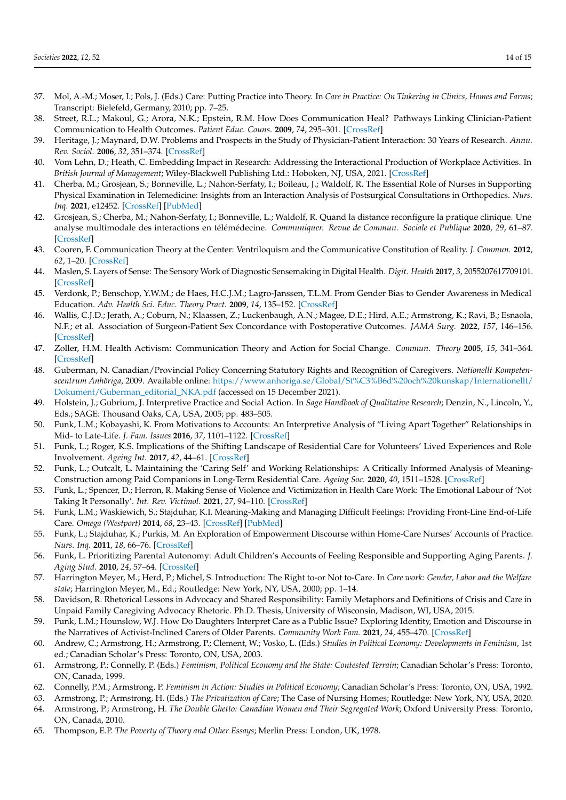- <span id="page-14-0"></span>37. Mol, A.-M.; Moser, I.; Pols, J. (Eds.) Care: Putting Practice into Theory. In *Care in Practice: On Tinkering in Clinics, Homes and Farms*; Transcript: Bielefeld, Germany, 2010; pp. 7–25.
- <span id="page-14-1"></span>38. Street, R.L.; Makoul, G.; Arora, N.K.; Epstein, R.M. How Does Communication Heal? Pathways Linking Clinician-Patient Communication to Health Outcomes. *Patient Educ. Couns.* **2009**, *74*, 295–301. [\[CrossRef\]](http://doi.org/10.1016/j.pec.2008.11.015)
- <span id="page-14-2"></span>39. Heritage, J.; Maynard, D.W. Problems and Prospects in the Study of Physician-Patient Interaction: 30 Years of Research. *Annu. Rev. Sociol.* **2006**, *32*, 351–374. [\[CrossRef\]](http://doi.org/10.1146/annurev.soc.32.082905.093959)
- <span id="page-14-3"></span>40. Vom Lehn, D.; Heath, C. Embedding Impact in Research: Addressing the Interactional Production of Workplace Activities. In *British Journal of Management*; Wiley-Blackwell Publishing Ltd.: Hoboken, NJ, USA, 2021. [\[CrossRef\]](http://doi.org/10.1111/1467-8551.12468)
- <span id="page-14-4"></span>41. Cherba, M.; Grosjean, S.; Bonneville, L.; Nahon-Serfaty, I.; Boileau, J.; Waldolf, R. The Essential Role of Nurses in Supporting Physical Examination in Telemedicine: Insights from an Interaction Analysis of Postsurgical Consultations in Orthopedics. *Nurs. Inq.* **2021**, e12452. [\[CrossRef\]](http://doi.org/10.1111/nin.12452) [\[PubMed\]](http://www.ncbi.nlm.nih.gov/pubmed/34428319)
- <span id="page-14-5"></span>42. Grosjean, S.; Cherba, M.; Nahon-Serfaty, I.; Bonneville, L.; Waldolf, R. Quand la distance reconfigure la pratique clinique. Une analyse multimodale des interactions en télémédecine. *Communiquer. Revue de Commun. Sociale et Publique* **2020**, *29*, 61–87. [\[CrossRef\]](http://doi.org/10.4000/communiquer.5219)
- <span id="page-14-6"></span>43. Cooren, F. Communication Theory at the Center: Ventriloquism and the Communicative Constitution of Reality. *J. Commun.* **2012**, *62*, 1–20. [\[CrossRef\]](http://doi.org/10.1111/j.1460-2466.2011.01622.x)
- <span id="page-14-7"></span>44. Maslen, S. Layers of Sense: The Sensory Work of Diagnostic Sensemaking in Digital Health. *Digit. Health* **2017**, *3*, 2055207617709101. [\[CrossRef\]](http://doi.org/10.1177/2055207617709101)
- <span id="page-14-8"></span>45. Verdonk, P.; Benschop, Y.W.M.; de Haes, H.C.J.M.; Lagro-Janssen, T.L.M. From Gender Bias to Gender Awareness in Medical Education. *Adv. Health Sci. Educ. Theory Pract.* **2009**, *14*, 135–152. [\[CrossRef\]](http://doi.org/10.1007/s10459-008-9100-z)
- <span id="page-14-9"></span>46. Wallis, C.J.D.; Jerath, A.; Coburn, N.; Klaassen, Z.; Luckenbaugh, A.N.; Magee, D.E.; Hird, A.E.; Armstrong, K.; Ravi, B.; Esnaola, N.F.; et al. Association of Surgeon-Patient Sex Concordance with Postoperative Outcomes. *JAMA Surg.* **2022**, *157*, 146–156. [\[CrossRef\]](http://doi.org/10.1001/jamasurg.2021.6339)
- <span id="page-14-10"></span>47. Zoller, H.M. Health Activism: Communication Theory and Action for Social Change. *Commun. Theory* **2005**, *15*, 341–364. [\[CrossRef\]](http://doi.org/10.1111/j.1468-2885.2005.tb00339.x)
- <span id="page-14-11"></span>48. Guberman, N. Canadian/Provincial Policy Concerning Statutory Rights and Recognition of Caregivers. *Nationellt Kompetenscentrum Anhöriga*, 2009. Available online: [https://www.anhoriga.se/Global/St%C3%B6d%20och%20kunskap/Internationellt/](https://www.anhoriga.se/Global/St%C3%B6d%20och%20kunskap/Internationellt/Dokument/Guberman_editorial_NKA.pdf) [Dokument/Guberman\\_editorial\\_NKA.pdf](https://www.anhoriga.se/Global/St%C3%B6d%20och%20kunskap/Internationellt/Dokument/Guberman_editorial_NKA.pdf) (accessed on 15 December 2021).
- <span id="page-14-12"></span>49. Holstein, J.; Gubrium, J. Interpretive Practice and Social Action. In *Sage Handbook of Qualitative Research*; Denzin, N., Lincoln, Y., Eds.; SAGE: Thousand Oaks, CA, USA, 2005; pp. 483–505.
- <span id="page-14-13"></span>50. Funk, L.M.; Kobayashi, K. From Motivations to Accounts: An Interpretive Analysis of "Living Apart Together" Relationships in Mid- to Late-Life. *J. Fam. Issues* **2016**, *37*, 1101–1122. [\[CrossRef\]](http://doi.org/10.1177/0192513X14529432)
- <span id="page-14-14"></span>51. Funk, L.; Roger, K.S. Implications of the Shifting Landscape of Residential Care for Volunteers' Lived Experiences and Role Involvement. *Ageing Int.* **2017**, *42*, 44–61. [\[CrossRef\]](http://doi.org/10.1007/s12126-016-9277-z)
- <span id="page-14-15"></span>52. Funk, L.; Outcalt, L. Maintaining the 'Caring Self' and Working Relationships: A Critically Informed Analysis of Meaning-Construction among Paid Companions in Long-Term Residential Care. *Ageing Soc.* **2020**, *40*, 1511–1528. [\[CrossRef\]](http://doi.org/10.1017/S0144686X19000138)
- <span id="page-14-16"></span>53. Funk, L.; Spencer, D.; Herron, R. Making Sense of Violence and Victimization in Health Care Work: The Emotional Labour of 'Not Taking It Personally'. *Int. Rev. Victimol.* **2021**, *27*, 94–110. [\[CrossRef\]](http://doi.org/10.1177/0269758020953760)
- <span id="page-14-17"></span>54. Funk, L.M.; Waskiewich, S.; Stajduhar, K.I. Meaning-Making and Managing Difficult Feelings: Providing Front-Line End-of-Life Care. *Omega (Westport)* **2014**, *68*, 23–43. [\[CrossRef\]](http://doi.org/10.2190/OM.68.1.b) [\[PubMed\]](http://www.ncbi.nlm.nih.gov/pubmed/24547663)
- <span id="page-14-18"></span>55. Funk, L.; Stajduhar, K.; Purkis, M. An Exploration of Empowerment Discourse within Home-Care Nurses' Accounts of Practice. *Nurs. Inq.* **2011**, *18*, 66–76. [\[CrossRef\]](http://doi.org/10.1111/j.1440-1800.2010.00502.x)
- <span id="page-14-19"></span>56. Funk, L. Prioritizing Parental Autonomy: Adult Children's Accounts of Feeling Responsible and Supporting Aging Parents. *J. Aging Stud.* **2010**, *24*, 57–64. [\[CrossRef\]](http://doi.org/10.1016/j.jaging.2008.03.003)
- <span id="page-14-20"></span>57. Harrington Meyer, M.; Herd, P.; Michel, S. Introduction: The Right to-or Not to-Care. In *Care work: Gender, Labor and the Welfare state*; Harrington Meyer, M., Ed.; Routledge: New York, NY, USA, 2000; pp. 1–14.
- <span id="page-14-21"></span>58. Davidson, R. Rhetorical Lessons in Advocacy and Shared Responsibility: Family Metaphors and Definitions of Crisis and Care in Unpaid Family Caregiving Advocacy Rhetoric. Ph.D. Thesis, University of Wisconsin, Madison, WI, USA, 2015.
- <span id="page-14-22"></span>59. Funk, L.M.; Hounslow, W.J. How Do Daughters Interpret Care as a Public Issue? Exploring Identity, Emotion and Discourse in the Narratives of Activist-Inclined Carers of Older Parents. *Community Work Fam.* **2021**, *24*, 455–470. [\[CrossRef\]](http://doi.org/10.1080/13668803.2019.1681939)
- <span id="page-14-23"></span>60. Andrew, C.; Armstrong, H.; Armstrong, P.; Clement, W.; Vosko, L. (Eds.) *Studies in Political Economy: Developments in Feminism*, 1st ed.; Canadian Scholar's Press: Toronto, ON, USA, 2003.
- 61. Armstrong, P.; Connelly, P. (Eds.) *Feminism, Political Economy and the State: Contested Terrain*; Canadian Scholar's Press: Toronto, ON, Canada, 1999.
- <span id="page-14-24"></span>62. Connelly, P.M.; Armstrong, P. *Feminism in Action: Studies in Political Economy*; Canadian Scholar's Press: Toronto, ON, USA, 1992.
- <span id="page-14-26"></span><span id="page-14-25"></span>63. Armstrong, P.; Armstrong, H. (Eds.) *The Privatization of Care*; The Case of Nursing Homes; Routledge: New York, NY, USA, 2020. 64. Armstrong, P.; Armstrong, H. *The Double Ghetto: Canadian Women and Their Segregated Work*; Oxford University Press: Toronto,
- ON, Canada, 2010.
- <span id="page-14-27"></span>65. Thompson, E.P. *The Poverty of Theory and Other Essays*; Merlin Press: London, UK, 1978.